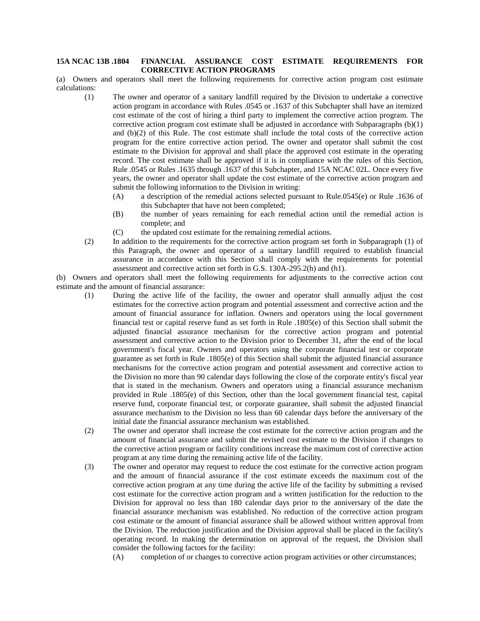## **15A NCAC 13B .1804 FINANCIAL ASSURANCE COST ESTIMATE REQUIREMENTS FOR CORRECTIVE ACTION PROGRAMS**

(a) Owners and operators shall meet the following requirements for corrective action program cost estimate calculations:

- (1) The owner and operator of a sanitary landfill required by the Division to undertake a corrective action program in accordance with Rules .0545 or .1637 of this Subchapter shall have an itemized cost estimate of the cost of hiring a third party to implement the corrective action program. The corrective action program cost estimate shall be adjusted in accordance with Subparagraphs  $(b)(1)$ and (b)(2) of this Rule. The cost estimate shall include the total costs of the corrective action program for the entire corrective action period. The owner and operator shall submit the cost estimate to the Division for approval and shall place the approved cost estimate in the operating record. The cost estimate shall be approved if it is in compliance with the rules of this Section, Rule .0545 or Rules .1635 through .1637 of this Subchapter, and 15A NCAC 02L. Once every five years, the owner and operator shall update the cost estimate of the corrective action program and submit the following information to the Division in writing:
	- (A) a description of the remedial actions selected pursuant to Rule.0545(e) or Rule .1636 of this Subchapter that have not been completed;
	- (B) the number of years remaining for each remedial action until the remedial action is complete; and
	- (C) the updated cost estimate for the remaining remedial actions.
- (2) In addition to the requirements for the corrective action program set forth in Subparagraph (1) of this Paragraph, the owner and operator of a sanitary landfill required to establish financial assurance in accordance with this Section shall comply with the requirements for potential assessment and corrective action set forth in G.S. 130A-295.2(h) and (h1).

(b) Owners and operators shall meet the following requirements for adjustments to the corrective action cost estimate and the amount of financial assurance:

- (1) During the active life of the facility, the owner and operator shall annually adjust the cost estimates for the corrective action program and potential assessment and corrective action and the amount of financial assurance for inflation. Owners and operators using the local government financial test or capital reserve fund as set forth in Rule .1805(e) of this Section shall submit the adjusted financial assurance mechanism for the corrective action program and potential assessment and corrective action to the Division prior to December 31, after the end of the local government's fiscal year. Owners and operators using the corporate financial test or corporate guarantee as set forth in Rule .1805(e) of this Section shall submit the adjusted financial assurance mechanisms for the corrective action program and potential assessment and corrective action to the Division no more than 90 calendar days following the close of the corporate entity's fiscal year that is stated in the mechanism. Owners and operators using a financial assurance mechanism provided in Rule .1805(e) of this Section, other than the local government financial test, capital reserve fund, corporate financial test, or corporate guarantee, shall submit the adjusted financial assurance mechanism to the Division no less than 60 calendar days before the anniversary of the initial date the financial assurance mechanism was established.
- (2) The owner and operator shall increase the cost estimate for the corrective action program and the amount of financial assurance and submit the revised cost estimate to the Division if changes to the corrective action program or facility conditions increase the maximum cost of corrective action program at any time during the remaining active life of the facility.
- (3) The owner and operator may request to reduce the cost estimate for the corrective action program and the amount of financial assurance if the cost estimate exceeds the maximum cost of the corrective action program at any time during the active life of the facility by submitting a revised cost estimate for the corrective action program and a written justification for the reduction to the Division for approval no less than 180 calendar days prior to the anniversary of the date the financial assurance mechanism was established. No reduction of the corrective action program cost estimate or the amount of financial assurance shall be allowed without written approval from the Division. The reduction justification and the Division approval shall be placed in the facility's operating record. In making the determination on approval of the request, the Division shall consider the following factors for the facility:
	- (A) completion of or changes to corrective action program activities or other circumstances;